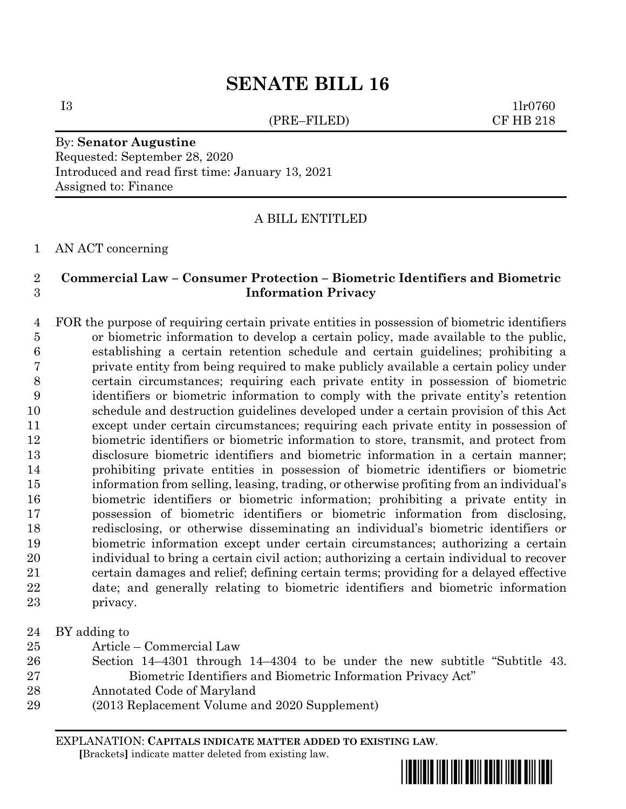## **SENATE BILL 16**

(PRE–FILED) CF HB 218

 $11r0760$ 

By: **Senator Augustine** Requested: September 28, 2020 Introduced and read first time: January 13, 2021 Assigned to: Finance

A BILL ENTITLED

AN ACT concerning

## **Commercial Law – Consumer Protection – Biometric Identifiers and Biometric Information Privacy**

 FOR the purpose of requiring certain private entities in possession of biometric identifiers or biometric information to develop a certain policy, made available to the public, establishing a certain retention schedule and certain guidelines; prohibiting a private entity from being required to make publicly available a certain policy under certain circumstances; requiring each private entity in possession of biometric identifiers or biometric information to comply with the private entity's retention schedule and destruction guidelines developed under a certain provision of this Act except under certain circumstances; requiring each private entity in possession of biometric identifiers or biometric information to store, transmit, and protect from disclosure biometric identifiers and biometric information in a certain manner; prohibiting private entities in possession of biometric identifiers or biometric information from selling, leasing, trading, or otherwise profiting from an individual's biometric identifiers or biometric information; prohibiting a private entity in possession of biometric identifiers or biometric information from disclosing, redisclosing, or otherwise disseminating an individual's biometric identifiers or biometric information except under certain circumstances; authorizing a certain individual to bring a certain civil action; authorizing a certain individual to recover certain damages and relief; defining certain terms; providing for a delayed effective date; and generally relating to biometric identifiers and biometric information privacy.

BY adding to

- Article Commercial Law
- Section 14–4301 through 14–4304 to be under the new subtitle "Subtitle 43. Biometric Identifiers and Biometric Information Privacy Act"
- Annotated Code of Maryland
- (2013 Replacement Volume and 2020 Supplement)

EXPLANATION: **CAPITALS INDICATE MATTER ADDED TO EXISTING LAW**.

 **[**Brackets**]** indicate matter deleted from existing law.

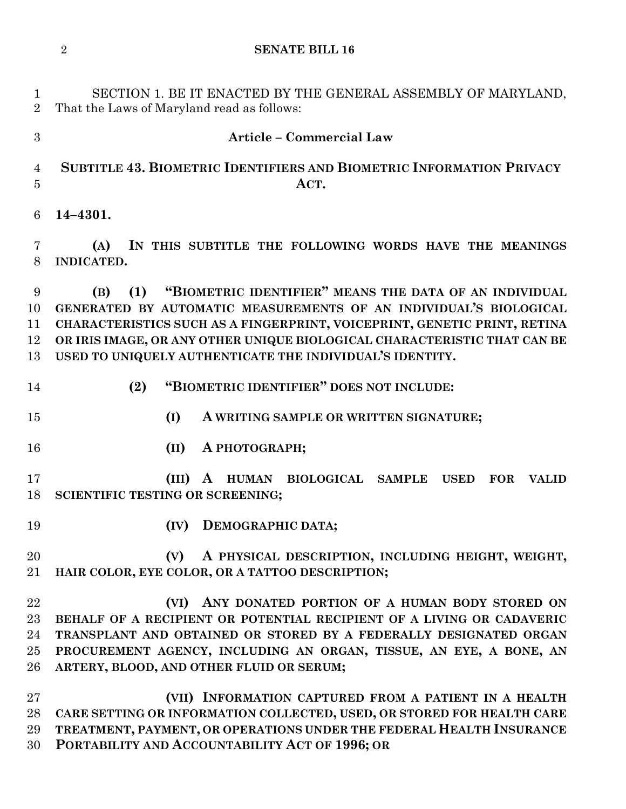**SENATE BILL 16**

 That the Laws of Maryland read as follows: **Article – Commercial Law SUBTITLE 43. BIOMETRIC IDENTIFIERS AND BIOMETRIC INFORMATION PRIVACY ACT. 14–4301. (A) IN THIS SUBTITLE THE FOLLOWING WORDS HAVE THE MEANINGS INDICATED. (B) (1) "BIOMETRIC IDENTIFIER" MEANS THE DATA OF AN INDIVIDUAL GENERATED BY AUTOMATIC MEASUREMENTS OF AN INDIVIDUAL'S BIOLOGICAL CHARACTERISTICS SUCH AS A FINGERPRINT, VOICEPRINT, GENETIC PRINT, RETINA OR IRIS IMAGE, OR ANY OTHER UNIQUE BIOLOGICAL CHARACTERISTIC THAT CAN BE USED TO UNIQUELY AUTHENTICATE THE INDIVIDUAL'S IDENTITY.**

- **(2) "BIOMETRIC IDENTIFIER" DOES NOT INCLUDE:**
- **(I) A WRITING SAMPLE OR WRITTEN SIGNATURE;**
- 
- **(II) A PHOTOGRAPH;**

 **(III) A HUMAN BIOLOGICAL SAMPLE USED FOR VALID SCIENTIFIC TESTING OR SCREENING;**

**(IV) DEMOGRAPHIC DATA;**

 **(V) A PHYSICAL DESCRIPTION, INCLUDING HEIGHT, WEIGHT, HAIR COLOR, EYE COLOR, OR A TATTOO DESCRIPTION;**

 **(VI) ANY DONATED PORTION OF A HUMAN BODY STORED ON BEHALF OF A RECIPIENT OR POTENTIAL RECIPIENT OF A LIVING OR CADAVERIC TRANSPLANT AND OBTAINED OR STORED BY A FEDERALLY DESIGNATED ORGAN PROCUREMENT AGENCY, INCLUDING AN ORGAN, TISSUE, AN EYE, A BONE, AN ARTERY, BLOOD, AND OTHER FLUID OR SERUM;**

 **(VII) INFORMATION CAPTURED FROM A PATIENT IN A HEALTH CARE SETTING OR INFORMATION COLLECTED, USED, OR STORED FOR HEALTH CARE TREATMENT, PAYMENT, OR OPERATIONS UNDER THE FEDERAL HEALTH INSURANCE PORTABILITY AND ACCOUNTABILITY ACT OF 1996; OR**

SECTION 1. BE IT ENACTED BY THE GENERAL ASSEMBLY OF MARYLAND,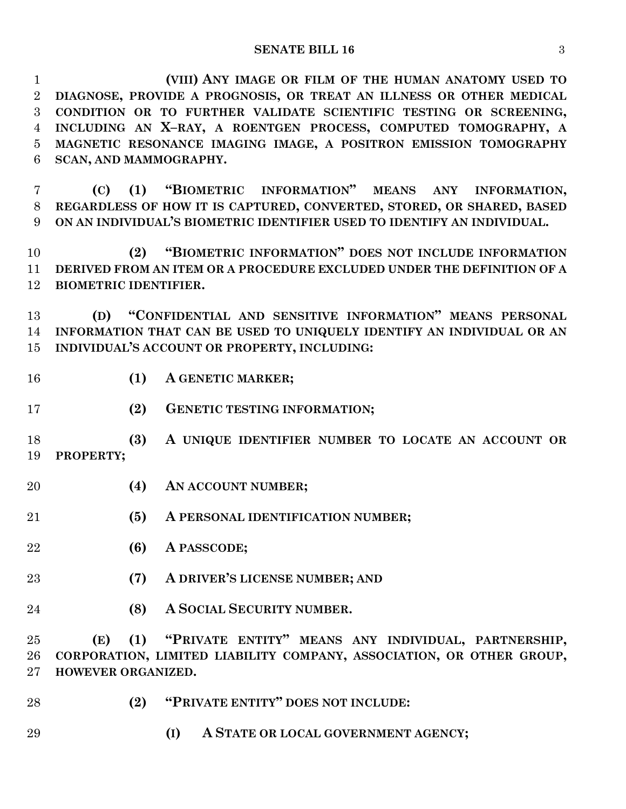**(VIII) ANY IMAGE OR FILM OF THE HUMAN ANATOMY USED TO DIAGNOSE, PROVIDE A PROGNOSIS, OR TREAT AN ILLNESS OR OTHER MEDICAL CONDITION OR TO FURTHER VALIDATE SCIENTIFIC TESTING OR SCREENING, INCLUDING AN X–RAY, A ROENTGEN PROCESS, COMPUTED TOMOGRAPHY, A MAGNETIC RESONANCE IMAGING IMAGE, A POSITRON EMISSION TOMOGRAPHY SCAN, AND MAMMOGRAPHY.**

 **(C) (1) "BIOMETRIC INFORMATION" MEANS ANY INFORMATION, REGARDLESS OF HOW IT IS CAPTURED, CONVERTED, STORED, OR SHARED, BASED ON AN INDIVIDUAL'S BIOMETRIC IDENTIFIER USED TO IDENTIFY AN INDIVIDUAL.**

 **(2) "BIOMETRIC INFORMATION" DOES NOT INCLUDE INFORMATION DERIVED FROM AN ITEM OR A PROCEDURE EXCLUDED UNDER THE DEFINITION OF A BIOMETRIC IDENTIFIER.**

 **(D) "CONFIDENTIAL AND SENSITIVE INFORMATION" MEANS PERSONAL INFORMATION THAT CAN BE USED TO UNIQUELY IDENTIFY AN INDIVIDUAL OR AN INDIVIDUAL'S ACCOUNT OR PROPERTY, INCLUDING:**

- **(1) A GENETIC MARKER;**
- **(2) GENETIC TESTING INFORMATION;**

 **(3) A UNIQUE IDENTIFIER NUMBER TO LOCATE AN ACCOUNT OR PROPERTY;**

- **(4) AN ACCOUNT NUMBER;**
- **(5) A PERSONAL IDENTIFICATION NUMBER;**
- **(6) A PASSCODE;**
- **(7) A DRIVER'S LICENSE NUMBER; AND**
- **(8) A SOCIAL SECURITY NUMBER.**

 **(E) (1) "PRIVATE ENTITY" MEANS ANY INDIVIDUAL, PARTNERSHIP, CORPORATION, LIMITED LIABILITY COMPANY, ASSOCIATION, OR OTHER GROUP, HOWEVER ORGANIZED.**

- **(2) "PRIVATE ENTITY" DOES NOT INCLUDE:**
- **(I) A STATE OR LOCAL GOVERNMENT AGENCY;**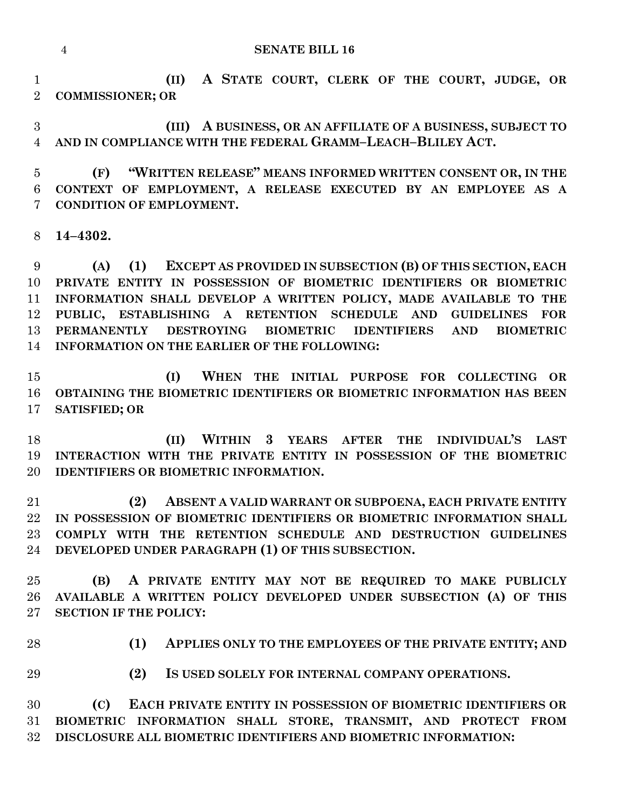## **SENATE BILL 16**

 **(II) A STATE COURT, CLERK OF THE COURT, JUDGE, OR COMMISSIONER; OR**

 **(III) A BUSINESS, OR AN AFFILIATE OF A BUSINESS, SUBJECT TO AND IN COMPLIANCE WITH THE FEDERAL GRAMM–LEACH–BLILEY ACT.**

 **(F) "WRITTEN RELEASE" MEANS INFORMED WRITTEN CONSENT OR, IN THE CONTEXT OF EMPLOYMENT, A RELEASE EXECUTED BY AN EMPLOYEE AS A CONDITION OF EMPLOYMENT.**

**14–4302.**

 **(A) (1) EXCEPT AS PROVIDED IN SUBSECTION (B) OF THIS SECTION, EACH PRIVATE ENTITY IN POSSESSION OF BIOMETRIC IDENTIFIERS OR BIOMETRIC INFORMATION SHALL DEVELOP A WRITTEN POLICY, MADE AVAILABLE TO THE PUBLIC, ESTABLISHING A RETENTION SCHEDULE AND GUIDELINES FOR PERMANENTLY DESTROYING BIOMETRIC IDENTIFIERS AND BIOMETRIC INFORMATION ON THE EARLIER OF THE FOLLOWING:**

 **(I) WHEN THE INITIAL PURPOSE FOR COLLECTING OR OBTAINING THE BIOMETRIC IDENTIFIERS OR BIOMETRIC INFORMATION HAS BEEN SATISFIED; OR**

 **(II) WITHIN 3 YEARS AFTER THE INDIVIDUAL'S LAST INTERACTION WITH THE PRIVATE ENTITY IN POSSESSION OF THE BIOMETRIC IDENTIFIERS OR BIOMETRIC INFORMATION.**

 **(2) ABSENT A VALID WARRANT OR SUBPOENA, EACH PRIVATE ENTITY IN POSSESSION OF BIOMETRIC IDENTIFIERS OR BIOMETRIC INFORMATION SHALL COMPLY WITH THE RETENTION SCHEDULE AND DESTRUCTION GUIDELINES DEVELOPED UNDER PARAGRAPH (1) OF THIS SUBSECTION.**

 **(B) A PRIVATE ENTITY MAY NOT BE REQUIRED TO MAKE PUBLICLY AVAILABLE A WRITTEN POLICY DEVELOPED UNDER SUBSECTION (A) OF THIS SECTION IF THE POLICY:**

**(1) APPLIES ONLY TO THE EMPLOYEES OF THE PRIVATE ENTITY; AND**

**(2) IS USED SOLELY FOR INTERNAL COMPANY OPERATIONS.**

 **(C) EACH PRIVATE ENTITY IN POSSESSION OF BIOMETRIC IDENTIFIERS OR BIOMETRIC INFORMATION SHALL STORE, TRANSMIT, AND PROTECT FROM DISCLOSURE ALL BIOMETRIC IDENTIFIERS AND BIOMETRIC INFORMATION:**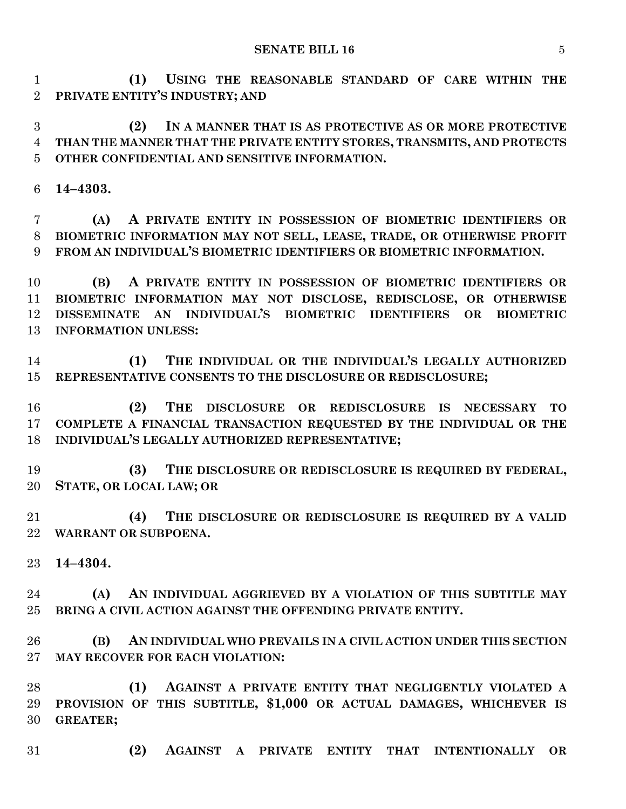**(1) USING THE REASONABLE STANDARD OF CARE WITHIN THE PRIVATE ENTITY'S INDUSTRY; AND**

 **(2) IN A MANNER THAT IS AS PROTECTIVE AS OR MORE PROTECTIVE THAN THE MANNER THAT THE PRIVATE ENTITY STORES, TRANSMITS, AND PROTECTS OTHER CONFIDENTIAL AND SENSITIVE INFORMATION.**

**14–4303.**

 **(A) A PRIVATE ENTITY IN POSSESSION OF BIOMETRIC IDENTIFIERS OR BIOMETRIC INFORMATION MAY NOT SELL, LEASE, TRADE, OR OTHERWISE PROFIT FROM AN INDIVIDUAL'S BIOMETRIC IDENTIFIERS OR BIOMETRIC INFORMATION.**

 **(B) A PRIVATE ENTITY IN POSSESSION OF BIOMETRIC IDENTIFIERS OR BIOMETRIC INFORMATION MAY NOT DISCLOSE, REDISCLOSE, OR OTHERWISE DISSEMINATE AN INDIVIDUAL'S BIOMETRIC IDENTIFIERS OR BIOMETRIC INFORMATION UNLESS:**

 **(1) THE INDIVIDUAL OR THE INDIVIDUAL'S LEGALLY AUTHORIZED REPRESENTATIVE CONSENTS TO THE DISCLOSURE OR REDISCLOSURE;**

 **(2) THE DISCLOSURE OR REDISCLOSURE IS NECESSARY TO COMPLETE A FINANCIAL TRANSACTION REQUESTED BY THE INDIVIDUAL OR THE INDIVIDUAL'S LEGALLY AUTHORIZED REPRESENTATIVE;**

 **(3) THE DISCLOSURE OR REDISCLOSURE IS REQUIRED BY FEDERAL, STATE, OR LOCAL LAW; OR**

 **(4) THE DISCLOSURE OR REDISCLOSURE IS REQUIRED BY A VALID WARRANT OR SUBPOENA.**

**14–4304.**

 **(A) AN INDIVIDUAL AGGRIEVED BY A VIOLATION OF THIS SUBTITLE MAY BRING A CIVIL ACTION AGAINST THE OFFENDING PRIVATE ENTITY.**

 **(B) AN INDIVIDUAL WHO PREVAILS IN A CIVIL ACTION UNDER THIS SECTION MAY RECOVER FOR EACH VIOLATION:**

 **(1) AGAINST A PRIVATE ENTITY THAT NEGLIGENTLY VIOLATED A PROVISION OF THIS SUBTITLE, \$1,000 OR ACTUAL DAMAGES, WHICHEVER IS GREATER;**

**(2) AGAINST A PRIVATE ENTITY THAT INTENTIONALLY OR**